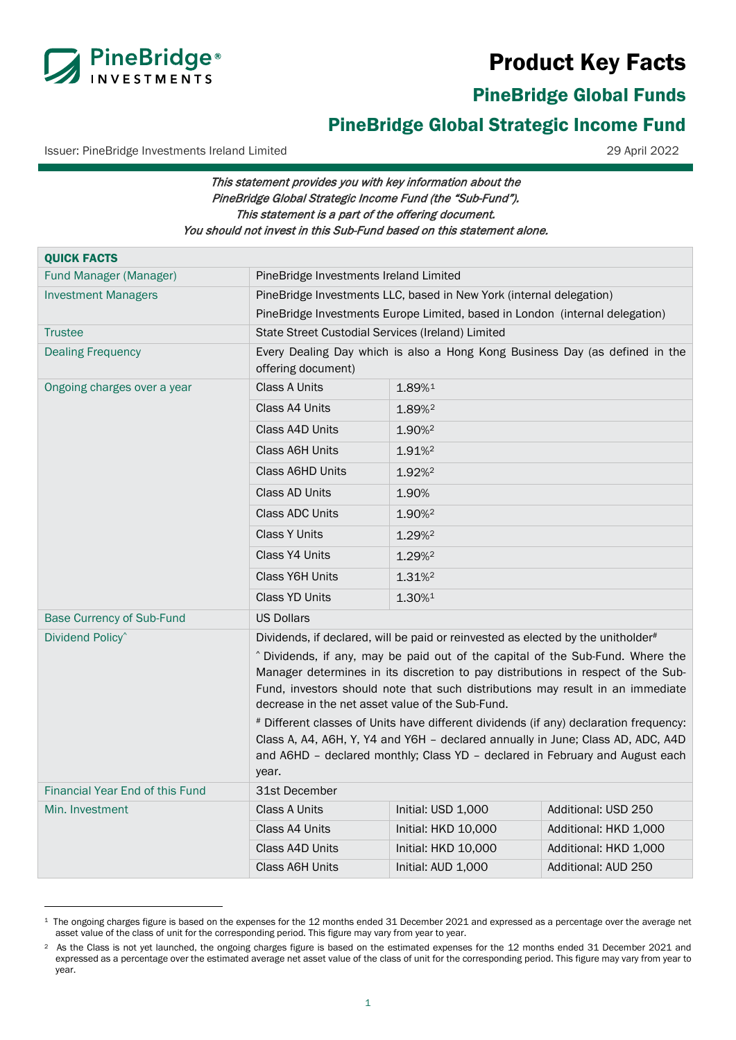# Product Key Facts



PineBridge Global Funds

## <span id="page-0-0"></span>PineBridge Global Strategic Income Fund

Issuer: PineBridge Investments Ireland Limited 29 April 2022

## This statement provides you with key information about the PineBridge Global Strategic Income Fund (the "Sub-Fund"). This statement is a part of the offering document. You should not invest in this Sub-Fund based on this statement alone.

| <b>QUICK FACTS</b>                     |                                                                                                                                                                                                                                                                                                          |                                        |                       |  |
|----------------------------------------|----------------------------------------------------------------------------------------------------------------------------------------------------------------------------------------------------------------------------------------------------------------------------------------------------------|----------------------------------------|-----------------------|--|
| Fund Manager (Manager)                 |                                                                                                                                                                                                                                                                                                          | PineBridge Investments Ireland Limited |                       |  |
| <b>Investment Managers</b>             | PineBridge Investments LLC, based in New York (internal delegation)                                                                                                                                                                                                                                      |                                        |                       |  |
|                                        | PineBridge Investments Europe Limited, based in London (internal delegation)                                                                                                                                                                                                                             |                                        |                       |  |
| <b>Trustee</b>                         | State Street Custodial Services (Ireland) Limited                                                                                                                                                                                                                                                        |                                        |                       |  |
| <b>Dealing Frequency</b>               | Every Dealing Day which is also a Hong Kong Business Day (as defined in the<br>offering document)                                                                                                                                                                                                        |                                        |                       |  |
| Ongoing charges over a year            | Class A Units                                                                                                                                                                                                                                                                                            | 1.89%1                                 |                       |  |
|                                        | Class A4 Units                                                                                                                                                                                                                                                                                           | 1.89% <sup>2</sup>                     |                       |  |
|                                        | Class A4D Units                                                                                                                                                                                                                                                                                          | 1.90% <sup>2</sup>                     |                       |  |
|                                        | <b>Class A6H Units</b>                                                                                                                                                                                                                                                                                   | 1.91%                                  |                       |  |
|                                        | Class A6HD Units                                                                                                                                                                                                                                                                                         | 1.92% <sup>2</sup>                     |                       |  |
|                                        | Class AD Units                                                                                                                                                                                                                                                                                           | 1.90%                                  |                       |  |
|                                        | Class ADC Units                                                                                                                                                                                                                                                                                          | 1.90% <sup>2</sup>                     |                       |  |
|                                        | <b>Class Y Units</b>                                                                                                                                                                                                                                                                                     | 1.29%                                  |                       |  |
|                                        | Class Y4 Units                                                                                                                                                                                                                                                                                           | 1.29% <sup>2</sup>                     |                       |  |
|                                        | <b>Class Y6H Units</b>                                                                                                                                                                                                                                                                                   | 1.31% <sup>2</sup>                     |                       |  |
|                                        | <b>Class YD Units</b>                                                                                                                                                                                                                                                                                    | 1.30%1                                 |                       |  |
| <b>Base Currency of Sub-Fund</b>       | <b>US Dollars</b>                                                                                                                                                                                                                                                                                        |                                        |                       |  |
| Dividend Policy <sup>^</sup>           | Dividends, if declared, will be paid or reinvested as elected by the unitholder#                                                                                                                                                                                                                         |                                        |                       |  |
|                                        | ^ Dividends, if any, may be paid out of the capital of the Sub-Fund. Where the<br>Manager determines in its discretion to pay distributions in respect of the Sub-<br>Fund, investors should note that such distributions may result in an immediate<br>decrease in the net asset value of the Sub-Fund. |                                        |                       |  |
|                                        | # Different classes of Units have different dividends (if any) declaration frequency:<br>Class A, A4, A6H, Y, Y4 and Y6H - declared annually in June; Class AD, ADC, A4D<br>and A6HD - declared monthly; Class YD - declared in February and August each<br>year.                                        |                                        |                       |  |
| <b>Financial Year End of this Fund</b> | 31st December                                                                                                                                                                                                                                                                                            |                                        |                       |  |
| Min. Investment                        | <b>Class A Units</b>                                                                                                                                                                                                                                                                                     | Initial: USD 1,000                     | Additional: USD 250   |  |
|                                        | Class A4 Units                                                                                                                                                                                                                                                                                           | Initial: HKD 10,000                    | Additional: HKD 1,000 |  |
|                                        | Class A4D Units                                                                                                                                                                                                                                                                                          | Initial: HKD 10,000                    | Additional: HKD 1,000 |  |
|                                        | Class A6H Units                                                                                                                                                                                                                                                                                          | Initial: AUD 1,000                     | Additional: AUD 250   |  |

<span id="page-0-1"></span><sup>&</sup>lt;sup>1</sup> The ongoing charges figure is based on the expenses for the 12 months ended 31 December 2021 and expressed as a percentage over the average net asset value of the class of unit for the corresponding period. This figure may vary from year to year.

<span id="page-0-2"></span><sup>&</sup>lt;sup>2</sup> As the Class is not yet launched, the ongoing charges figure is based on the estimated expenses for the 12 months ended 31 December 2021 and expressed as a percentage over the estimated average net asset value of the class of unit for the corresponding period. This figure may vary from year to year.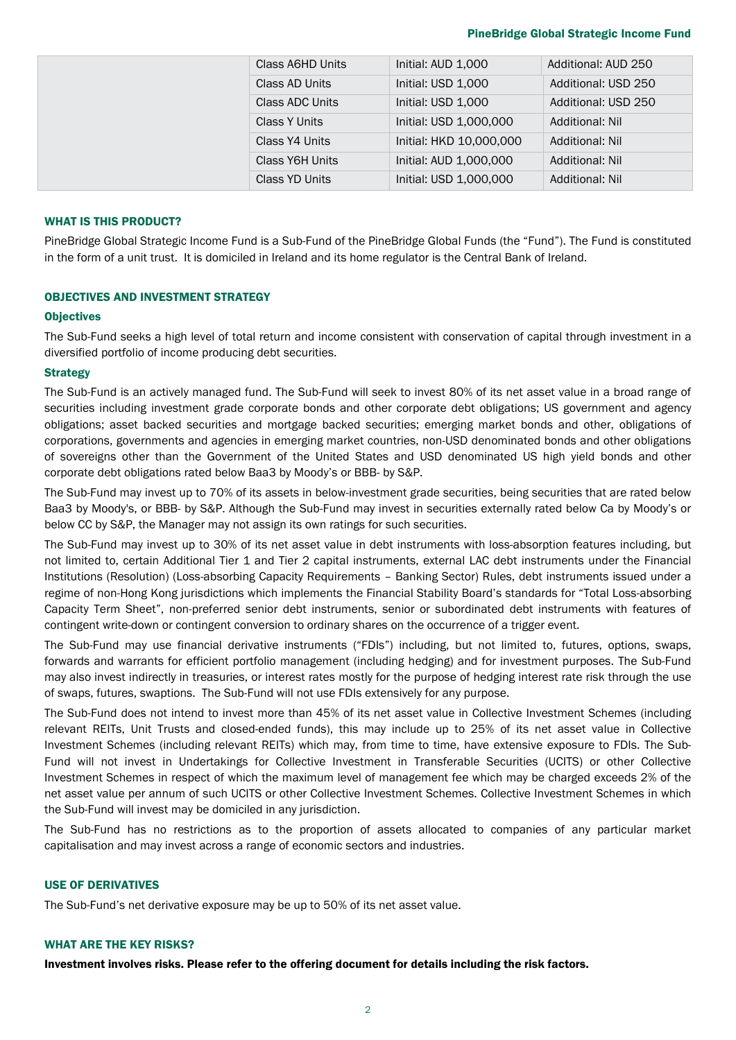#### PineBridge Global Strategic Income Fund

|  | Class A6HD Units     | Initial: AUD 1,000      | Additional: AUD 250    |
|--|----------------------|-------------------------|------------------------|
|  | Class AD Units       | Initial: USD 1,000      | Additional: USD 250    |
|  | Class ADC Units      | Initial: USD 1,000      | Additional: USD 250    |
|  | <b>Class Y Units</b> | Initial: USD 1,000,000  | <b>Additional: Nil</b> |
|  | Class Y4 Units       | Initial: HKD 10,000,000 | <b>Additional: Nil</b> |
|  | Class Y6H Units      | Initial: AUD 1,000,000  | Additional: Nil        |
|  | Class YD Units       | Initial: USD 1,000,000  | <b>Additional: Nil</b> |

## WHAT IS THIS PRODUCT?

PineBridge Global Strategic Income Fund is a Sub-Fund of the PineBridge Global Funds (the "Fund"). The Fund is constituted in the form of a unit trust. It is domiciled in Ireland and its home regulator is the Central Bank of Ireland.

#### OBJECTIVES AND INVESTMENT STRATEGY

#### **Objectives**

The Sub-Fund seeks a high level of total return and income consistent with conservation of capital through investment in a diversified portfolio of income producing debt securities.

## **Strategy**

The Sub-Fund is an actively managed fund. The Sub-Fund will seek to invest 80% of its net asset value in a broad range of securities including investment grade corporate bonds and other corporate debt obligations; US government and agency obligations; asset backed securities and mortgage backed securities; emerging market bonds and other, obligations of corporations, governments and agencies in emerging market countries, non-USD denominated bonds and other obligations of sovereigns other than the Government of the United States and USD denominated US high yield bonds and other corporate debt obligations rated below Baa3 by Moody's or BBB- by S&P.

The Sub-Fund may invest up to 70% of its assets in below-investment grade securities, being securities that are rated below Baa3 by Moody's, or BBB- by S&P. Although the Sub-Fund may invest in securities externally rated below Ca by Moody's or below CC by S&P, the Manager may not assign its own ratings for such securities.

The Sub-Fund may invest up to 30% of its net asset value in debt instruments with loss-absorption features including, but not limited to, certain Additional Tier 1 and Tier 2 capital instruments, external LAC debt instruments under the Financial Institutions (Resolution) (Loss-absorbing Capacity Requirements – Banking Sector) Rules, debt instruments issued under a regime of non-Hong Kong jurisdictions which implements the Financial Stability Board's standards for "Total Loss-absorbing Capacity Term Sheet", non-preferred senior debt instruments, senior or subordinated debt instruments with features of contingent write-down or contingent conversion to ordinary shares on the occurrence of a trigger event.

The Sub-Fund may use financial derivative instruments ("FDIs") including, but not limited to, futures, options, swaps, forwards and warrants for efficient portfolio management (including hedging) and for investment purposes. The Sub-Fund may also invest indirectly in treasuries, or interest rates mostly for the purpose of hedging interest rate risk through the use of swaps, futures, swaptions. The Sub-Fund will not use FDIs extensively for any purpose.

The Sub-Fund does not intend to invest more than 45% of its net asset value in Collective Investment Schemes (including relevant REITs, Unit Trusts and closed-ended funds), this may include up to 25% of its net asset value in Collective Investment Schemes (including relevant REITs) which may, from time to time, have extensive exposure to FDIs. The Sub-Fund will not invest in Undertakings for Collective Investment in Transferable Securities (UCITS) or other Collective Investment Schemes in respect of which the maximum level of management fee which may be charged exceeds 2% of the net asset value per annum of such UCITS or other Collective Investment Schemes. Collective Investment Schemes in which the Sub-Fund will invest may be domiciled in any jurisdiction.

The Sub-Fund has no restrictions as to the proportion of assets allocated to companies of any particular market capitalisation and may invest across a range of economic sectors and industries.

## USE OF DERIVATIVES

The Sub-Fund's net derivative exposure may be up to 50% of its net asset value.

## WHAT ARE THE KEY RISKS?

Investment involves risks. Please refer to the offering document for details including the risk factors.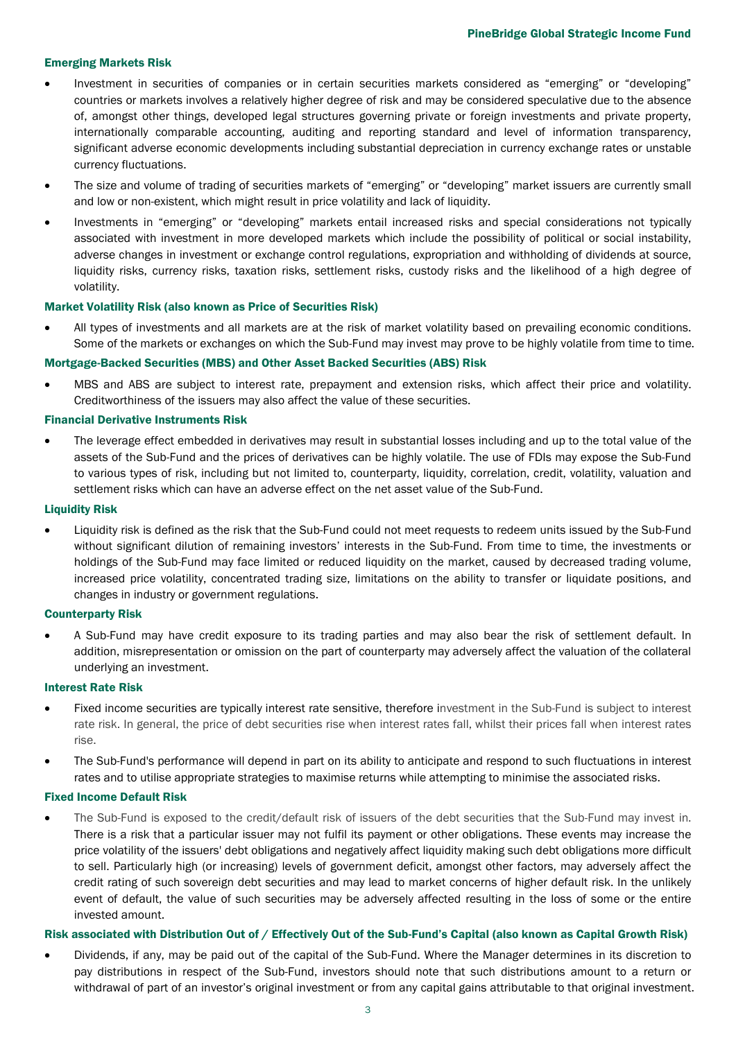## Emerging Markets Risk

- Investment in securities of companies or in certain securities markets considered as "emerging" or "developing" countries or markets involves a relatively higher degree of risk and may be considered speculative due to the absence of, amongst other things, developed legal structures governing private or foreign investments and private property, internationally comparable accounting, auditing and reporting standard and level of information transparency, significant adverse economic developments including substantial depreciation in currency exchange rates or unstable currency fluctuations.
- The size and volume of trading of securities markets of "emerging" or "developing" market issuers are currently small and low or non-existent, which might result in price volatility and lack of liquidity.
- Investments in "emerging" or "developing" markets entail increased risks and special considerations not typically associated with investment in more developed markets which include the possibility of political or social instability, adverse changes in investment or exchange control regulations, expropriation and withholding of dividends at source, liquidity risks, currency risks, taxation risks, settlement risks, custody risks and the likelihood of a high degree of volatility.

## Market Volatility Risk (also known as Price of Securities Risk)

• All types of investments and all markets are at the risk of market volatility based on prevailing economic conditions. Some of the markets or exchanges on which the Sub-Fund may invest may prove to be highly volatile from time to time.

#### Mortgage-Backed Securities (MBS) and Other Asset Backed Securities (ABS) Risk

• MBS and ABS are subject to interest rate, prepayment and extension risks, which affect their price and volatility. Creditworthiness of the issuers may also affect the value of these securities.

#### Financial Derivative Instruments Risk

• The leverage effect embedded in derivatives may result in substantial losses including and up to the total value of the assets of the Sub-Fund and the prices of derivatives can be highly volatile. The use of FDIs may expose the Sub-Fund to various types of risk, including but not limited to, counterparty, liquidity, correlation, credit, volatility, valuation and settlement risks which can have an adverse effect on the net asset value of the Sub-Fund.

#### Liquidity Risk

• Liquidity risk is defined as the risk that the Sub-Fund could not meet requests to redeem units issued by the Sub-Fund without significant dilution of remaining investors' interests in the Sub-Fund. From time to time, the investments or holdings of the Sub-Fund may face limited or reduced liquidity on the market, caused by decreased trading volume, increased price volatility, concentrated trading size, limitations on the ability to transfer or liquidate positions, and changes in industry or government regulations.

#### Counterparty Risk

• A Sub-Fund may have credit exposure to its trading parties and may also bear the risk of settlement default. In addition, misrepresentation or omission on the part of counterparty may adversely affect the valuation of the collateral underlying an investment.

#### Interest Rate Risk

- Fixed income securities are typically interest rate sensitive, therefore investment in the Sub-Fund is subject to interest rate risk. In general, the price of debt securities rise when interest rates fall, whilst their prices fall when interest rates rise.
- The Sub-Fund's performance will depend in part on its ability to anticipate and respond to such fluctuations in interest rates and to utilise appropriate strategies to maximise returns while attempting to minimise the associated risks.

#### Fixed Income Default Risk

• The Sub-Fund is exposed to the credit/default risk of issuers of the debt securities that the Sub-Fund may invest in. There is a risk that a particular issuer may not fulfil its payment or other obligations. These events may increase the price volatility of the issuers' debt obligations and negatively affect liquidity making such debt obligations more difficult to sell. Particularly high (or increasing) levels of government deficit, amongst other factors, may adversely affect the credit rating of such sovereign debt securities and may lead to market concerns of higher default risk. In the unlikely event of default, the value of such securities may be adversely affected resulting in the loss of some or the entire invested amount.

#### Risk associated with Distribution Out of / Effectively Out of the Sub-Fund's Capital (also known as Capital Growth Risk)

• Dividends, if any, may be paid out of the capital of the Sub-Fund. Where the Manager determines in its discretion to pay distributions in respect of the Sub-Fund, investors should note that such distributions amount to a return or withdrawal of part of an investor's original investment or from any capital gains attributable to that original investment.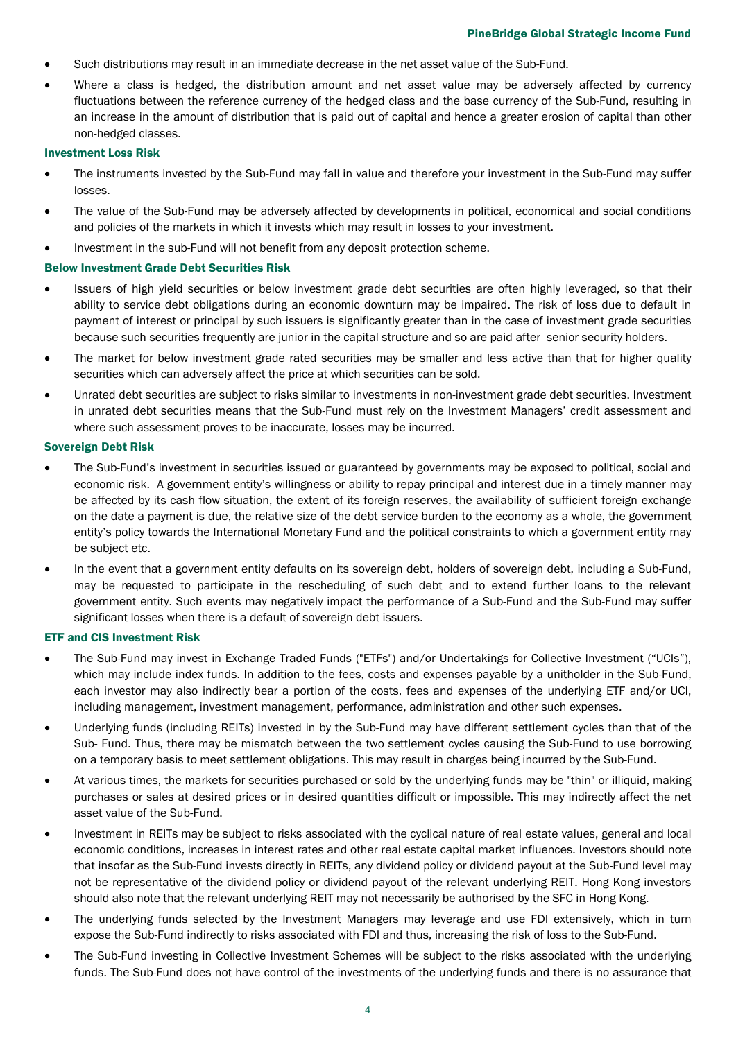- Such distributions may result in an immediate decrease in the net asset value of the Sub-Fund.
- Where a class is hedged, the distribution amount and net asset value may be adversely affected by currency fluctuations between the reference currency of the hedged class and the base currency of the Sub-Fund, resulting in an increase in the amount of distribution that is paid out of capital and hence a greater erosion of capital than other non-hedged classes.

#### Investment Loss Risk

- The instruments invested by the Sub-Fund may fall in value and therefore your investment in the Sub-Fund may suffer losses.
- The value of the Sub-Fund may be adversely affected by developments in political, economical and social conditions and policies of the markets in which it invests which may result in losses to your investment.
- Investment in the sub-Fund will not benefit from any deposit protection scheme.

#### Below Investment Grade Debt Securities Risk

- Issuers of high yield securities or below investment grade debt securities are often highly leveraged, so that their ability to service debt obligations during an economic downturn may be impaired. The risk of loss due to default in payment of interest or principal by such issuers is significantly greater than in the case of investment grade securities because such securities frequently are junior in the capital structure and so are paid after senior security holders.
- The market for below investment grade rated securities may be smaller and less active than that for higher quality securities which can adversely affect the price at which securities can be sold.
- Unrated debt securities are subject to risks similar to investments in non-investment grade debt securities. Investment in unrated debt securities means that the Sub-Fund must rely on the Investment Managers' credit assessment and where such assessment proves to be inaccurate, losses may be incurred.

#### Sovereign Debt Risk

- The Sub-Fund's investment in securities issued or guaranteed by governments may be exposed to political, social and economic risk. A government entity's willingness or ability to repay principal and interest due in a timely manner may be affected by its cash flow situation, the extent of its foreign reserves, the availability of sufficient foreign exchange on the date a payment is due, the relative size of the debt service burden to the economy as a whole, the government entity's policy towards the International Monetary Fund and the political constraints to which a government entity may be subject etc.
- In the event that a government entity defaults on its sovereign debt, holders of sovereign debt, including a Sub-Fund, may be requested to participate in the rescheduling of such debt and to extend further loans to the relevant government entity. Such events may negatively impact the performance of a Sub-Fund and the Sub-Fund may suffer significant losses when there is a default of sovereign debt issuers.

#### ETF and CIS Investment Risk

- The Sub-Fund may invest in Exchange Traded Funds ("ETFs") and/or Undertakings for Collective Investment ("UCIs"), which may include index funds. In addition to the fees, costs and expenses payable by a unitholder in the Sub-Fund, each investor may also indirectly bear a portion of the costs, fees and expenses of the underlying ETF and/or UCI, including management, investment management, performance, administration and other such expenses.
- Underlying funds (including REITs) invested in by the Sub-Fund may have different settlement cycles than that of the Sub- Fund. Thus, there may be mismatch between the two settlement cycles causing the Sub-Fund to use borrowing on a temporary basis to meet settlement obligations. This may result in charges being incurred by the Sub-Fund.
- At various times, the markets for securities purchased or sold by the underlying funds may be "thin" or illiquid, making purchases or sales at desired prices or in desired quantities difficult or impossible. This may indirectly affect the net asset value of the Sub-Fund.
- Investment in REITs may be subject to risks associated with the cyclical nature of real estate values, general and local economic conditions, increases in interest rates and other real estate capital market influences. Investors should note that insofar as the Sub-Fund invests directly in REITs, any dividend policy or dividend payout at the Sub-Fund level may not be representative of the dividend policy or dividend payout of the relevant underlying REIT. Hong Kong investors should also note that the relevant underlying REIT may not necessarily be authorised by the SFC in Hong Kong.
- The underlying funds selected by the Investment Managers may leverage and use FDI extensively, which in turn expose the Sub-Fund indirectly to risks associated with FDI and thus, increasing the risk of loss to the Sub-Fund.
- The Sub-Fund investing in Collective Investment Schemes will be subject to the risks associated with the underlying funds. The Sub-Fund does not have control of the investments of the underlying funds and there is no assurance that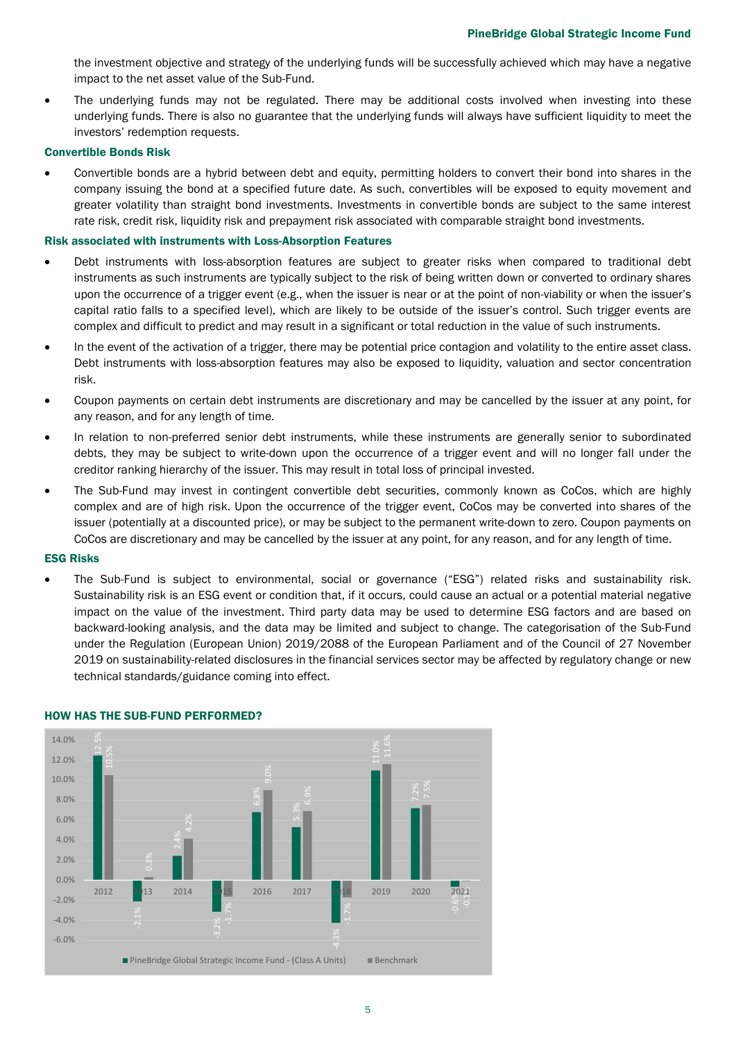the investment objective and strategy of the underlying funds will be successfully achieved which may have a negative impact to the net asset value of the Sub-Fund.

The underlying funds may not be regulated. There may be additional costs involved when investing into these underlying funds. There is also no guarantee that the underlying funds will always have sufficient liquidity to meet the investors' redemption requests.

## Convertible Bonds Risk

• Convertible bonds are a hybrid between debt and equity, permitting holders to convert their bond into shares in the company issuing the bond at a specified future date. As such, convertibles will be exposed to equity movement and greater volatility than straight bond investments. Investments in convertible bonds are subject to the same interest rate risk, credit risk, liquidity risk and prepayment risk associated with comparable straight bond investments.

## Risk associated with instruments with Loss-Absorption Features

- Debt instruments with loss-absorption features are subject to greater risks when compared to traditional debt instruments as such instruments are typically subject to the risk of being written down or converted to ordinary shares upon the occurrence of a trigger event (e.g., when the issuer is near or at the point of non-viability or when the issuer's capital ratio falls to a specified level), which are likely to be outside of the issuer's control. Such trigger events are complex and difficult to predict and may result in a significant or total reduction in the value of such instruments.
- In the event of the activation of a trigger, there may be potential price contagion and volatility to the entire asset class. Debt instruments with loss-absorption features may also be exposed to liquidity, valuation and sector concentration risk.
- Coupon payments on certain debt instruments are discretionary and may be cancelled by the issuer at any point, for any reason, and for any length of time.
- In relation to non-preferred senior debt instruments, while these instruments are generally senior to subordinated debts, they may be subject to write-down upon the occurrence of a trigger event and will no longer fall under the creditor ranking hierarchy of the issuer. This may result in total loss of principal invested.
- The Sub-Fund may invest in contingent convertible debt securities, commonly known as CoCos, which are highly complex and are of high risk. Upon the occurrence of the trigger event, CoCos may be converted into shares of the issuer (potentially at a discounted price), or may be subject to the permanent write-down to zero. Coupon payments on CoCos are discretionary and may be cancelled by the issuer at any point, for any reason, and for any length of time.

## ESG Risks

• The Sub-Fund is subject to environmental, social or governance ("ESG") related risks and sustainability risk. Sustainability risk is an ESG event or condition that, if it occurs, could cause an actual or a potential material negative impact on the value of the investment. Third party data may be used to determine ESG factors and are based on backward-looking analysis, and the data may be limited and subject to change. The categorisation of the Sub-Fund under the Regulation (European Union) 2019/2088 of the European Parliament and of the Council of 27 November 2019 on sustainability-related disclosures in the financial services sector may be affected by regulatory change or new technical standards/guidance coming into effect.



## HOW HAS THE SUB-FUND PERFORMED?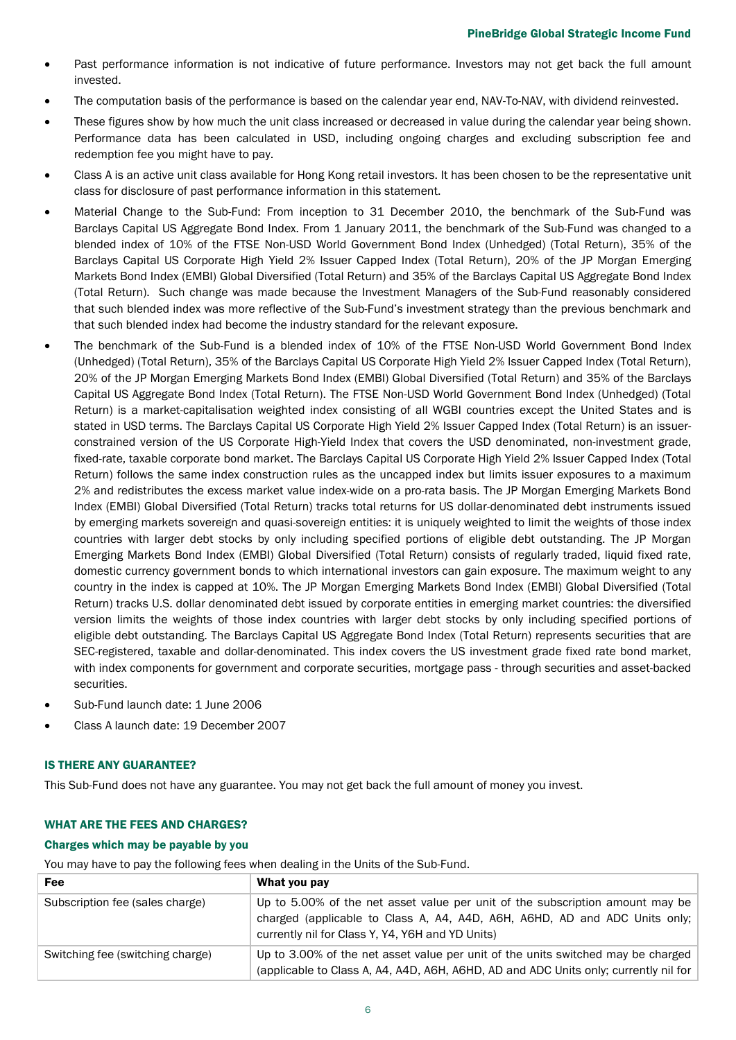- Past performance information is not indicative of future performance. Investors may not get back the full amount invested.
- The computation basis of the performance is based on the calendar year end, NAV-To-NAV, with dividend reinvested.
- These figures show by how much the unit class increased or decreased in value during the calendar year being shown. Performance data has been calculated in USD, including ongoing charges and excluding subscription fee and redemption fee you might have to pay.
- Class A is an active unit class available for Hong Kong retail investors. It has been chosen to be the representative unit class for disclosure of past performance information in this statement.
- Material Change to the Sub-Fund: From inception to 31 December 2010, the benchmark of the Sub-Fund was Barclays Capital US Aggregate Bond Index. From 1 January 2011, the benchmark of the Sub-Fund was changed to a blended index of 10% of the FTSE Non-USD World Government Bond Index (Unhedged) (Total Return), 35% of the Barclays Capital US Corporate High Yield 2% Issuer Capped Index (Total Return), 20% of the JP Morgan Emerging Markets Bond Index (EMBI) Global Diversified (Total Return) and 35% of the Barclays Capital US Aggregate Bond Index (Total Return). Such change was made because the Investment Managers of the Sub-Fund reasonably considered that such blended index was more reflective of the Sub-Fund's investment strategy than the previous benchmark and that such blended index had become the industry standard for the relevant exposure.
- The benchmark of the Sub-Fund is a blended index of 10% of the FTSE Non-USD World Government Bond Index (Unhedged) (Total Return), 35% of the Barclays Capital US Corporate High Yield 2% Issuer Capped Index (Total Return), 20% of the JP Morgan Emerging Markets Bond Index (EMBI) Global Diversified (Total Return) and 35% of the Barclays Capital US Aggregate Bond Index (Total Return). The FTSE Non-USD World Government Bond Index (Unhedged) (Total Return) is a market-capitalisation weighted index consisting of all WGBI countries except the United States and is stated in USD terms. The Barclays Capital US Corporate High Yield 2% Issuer Capped Index (Total Return) is an issuerconstrained version of the US Corporate High-Yield Index that covers the USD denominated, non-investment grade, fixed-rate, taxable corporate bond market. The Barclays Capital US Corporate High Yield 2% Issuer Capped Index (Total Return) follows the same index construction rules as the uncapped index but limits issuer exposures to a maximum 2% and redistributes the excess market value index-wide on a pro-rata basis. The JP Morgan Emerging Markets Bond Index (EMBI) Global Diversified (Total Return) tracks total returns for US dollar-denominated debt instruments issued by emerging markets sovereign and quasi-sovereign entities: it is uniquely weighted to limit the weights of those index countries with larger debt stocks by only including specified portions of eligible debt outstanding. The JP Morgan Emerging Markets Bond Index (EMBI) Global Diversified (Total Return) consists of regularly traded, liquid fixed rate, domestic currency government bonds to which international investors can gain exposure. The maximum weight to any country in the index is capped at 10%. The JP Morgan Emerging Markets Bond Index (EMBI) Global Diversified (Total Return) tracks U.S. dollar denominated debt issued by corporate entities in emerging market countries: the diversified version limits the weights of those index countries with larger debt stocks by only including specified portions of eligible debt outstanding. The Barclays Capital US Aggregate Bond Index (Total Return) represents securities that are SEC-registered, taxable and dollar-denominated. This index covers the US investment grade fixed rate bond market, with index components for government and corporate securities, mortgage pass - through securities and asset-backed securities.
- Sub-Fund launch date: 1 June 2006
- Class A launch date: 19 December 2007

## IS THERE ANY GUARANTEE?

This Sub-Fund does not have any guarantee. You may not get back the full amount of money you invest.

## WHAT ARE THE FEES AND CHARGES?

## Charges which may be payable by you

You may have to pay the following fees when dealing in the Units of the Sub-Fund.

| Fee                              | What you pay                                                                                                                                                                                                    |
|----------------------------------|-----------------------------------------------------------------------------------------------------------------------------------------------------------------------------------------------------------------|
| Subscription fee (sales charge)  | Up to 5.00% of the net asset value per unit of the subscription amount may be<br>charged (applicable to Class A, A4, A4D, A6H, A6HD, AD and ADC Units only;<br>currently nil for Class Y, Y4, Y6H and YD Units) |
| Switching fee (switching charge) | Up to 3.00% of the net asset value per unit of the units switched may be charged<br>(applicable to Class A, A4, A4D, A6H, A6HD, AD and ADC Units only; currently nil for                                        |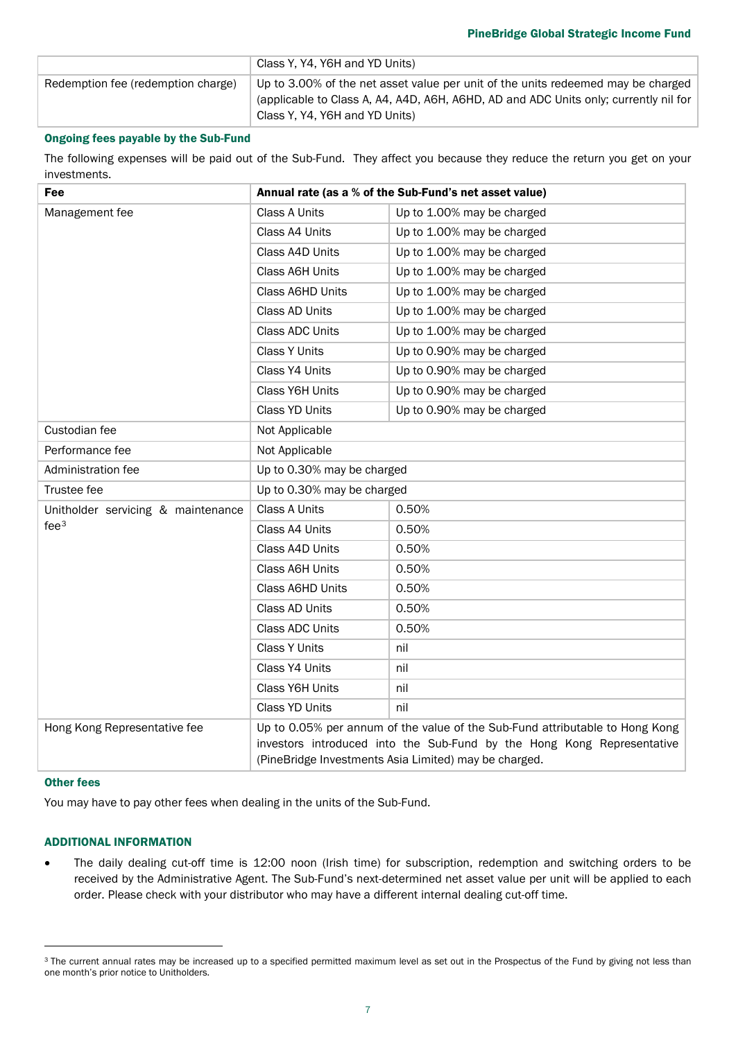| Redemption fee (redemption charge)<br>Up to 3.00% of the net asset value per unit of the units redeemed may be charged<br>(applicable to Class A, A4, A4D, A6H, A6HD, AD and ADC Units only; currently nil for<br>Class Y. Y4. Y6H and YD Units) |  |
|--------------------------------------------------------------------------------------------------------------------------------------------------------------------------------------------------------------------------------------------------|--|

## Ongoing fees payable by the Sub-Fund

The following expenses will be paid out of the Sub-Fund. They affect you because they reduce the return you get on your investments.

| Fee                                                    | Annual rate (as a % of the Sub-Fund's net asset value)                                                                                                                                                          |                            |  |
|--------------------------------------------------------|-----------------------------------------------------------------------------------------------------------------------------------------------------------------------------------------------------------------|----------------------------|--|
| Management fee                                         | Class A Units                                                                                                                                                                                                   | Up to 1.00% may be charged |  |
|                                                        | Class A4 Units                                                                                                                                                                                                  | Up to 1.00% may be charged |  |
|                                                        | Class A4D Units                                                                                                                                                                                                 | Up to 1.00% may be charged |  |
|                                                        | Class A6H Units                                                                                                                                                                                                 | Up to 1.00% may be charged |  |
|                                                        | <b>Class A6HD Units</b>                                                                                                                                                                                         | Up to 1.00% may be charged |  |
|                                                        | Class AD Units                                                                                                                                                                                                  | Up to 1.00% may be charged |  |
|                                                        | <b>Class ADC Units</b>                                                                                                                                                                                          | Up to 1.00% may be charged |  |
|                                                        | <b>Class Y Units</b>                                                                                                                                                                                            | Up to 0.90% may be charged |  |
|                                                        | Class Y4 Units                                                                                                                                                                                                  | Up to 0.90% may be charged |  |
|                                                        | Class Y6H Units                                                                                                                                                                                                 | Up to 0.90% may be charged |  |
|                                                        | Class YD Units                                                                                                                                                                                                  | Up to 0.90% may be charged |  |
| Custodian fee                                          | Not Applicable                                                                                                                                                                                                  |                            |  |
| Performance fee                                        | Not Applicable                                                                                                                                                                                                  |                            |  |
| Administration fee                                     | Up to 0.30% may be charged                                                                                                                                                                                      |                            |  |
| Trustee fee                                            | Up to 0.30% may be charged                                                                                                                                                                                      |                            |  |
| Unitholder servicing & maintenance<br>fee <sup>3</sup> | Class A Units                                                                                                                                                                                                   | 0.50%                      |  |
|                                                        | Class A4 Units                                                                                                                                                                                                  | 0.50%                      |  |
|                                                        | Class A4D Units                                                                                                                                                                                                 | 0.50%                      |  |
|                                                        | Class A6H Units                                                                                                                                                                                                 | 0.50%                      |  |
|                                                        | Class A6HD Units                                                                                                                                                                                                | 0.50%                      |  |
|                                                        | Class AD Units                                                                                                                                                                                                  | 0.50%                      |  |
|                                                        | <b>Class ADC Units</b>                                                                                                                                                                                          | 0.50%                      |  |
|                                                        | <b>Class Y Units</b>                                                                                                                                                                                            | nil                        |  |
|                                                        | Class Y4 Units                                                                                                                                                                                                  | nil                        |  |
|                                                        | Class Y6H Units                                                                                                                                                                                                 | nil                        |  |
|                                                        | <b>Class YD Units</b>                                                                                                                                                                                           | nil                        |  |
| Hong Kong Representative fee                           | Up to 0.05% per annum of the value of the Sub-Fund attributable to Hong Kong<br>investors introduced into the Sub-Fund by the Hong Kong Representative<br>(PineBridge Investments Asia Limited) may be charged. |                            |  |

## Other fees

You may have to pay other fees when dealing in the units of the Sub-Fund.

## ADDITIONAL INFORMATION

• The daily dealing cut-off time is 12:00 noon (Irish time) for subscription, redemption and switching orders to be received by the Administrative Agent. The Sub-Fund's next-determined net asset value per unit will be applied to each order. Please check with your distributor who may have a different internal dealing cut-off time.

<span id="page-6-0"></span><sup>&</sup>lt;sup>3</sup> The current annual rates may be increased up to a specified permitted maximum level as set out in the Prospectus of the Fund by giving not less than one month's prior notice to Unitholders.